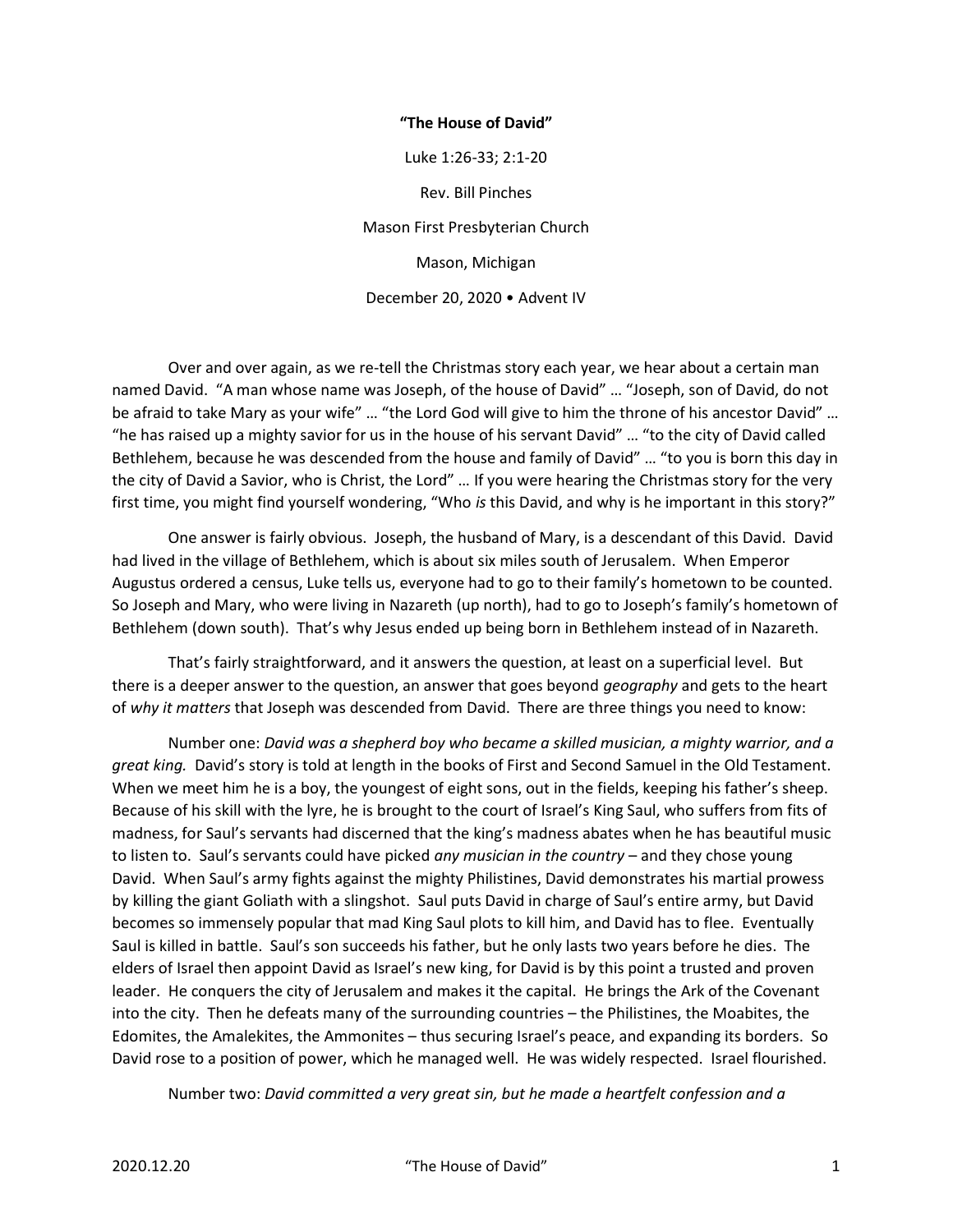## "The House of David"

Luke 1:26-33; 2:1-20 Rev. Bill Pinches Mason First Presbyterian Church Mason, Michigan December 20, 2020 • Advent IV

 Over and over again, as we re-tell the Christmas story each year, we hear about a certain man named David. "A man whose name was Joseph, of the house of David" … "Joseph, son of David, do not be afraid to take Mary as your wife" … "the Lord God will give to him the throne of his ancestor David" … "he has raised up a mighty savior for us in the house of his servant David" … "to the city of David called Bethlehem, because he was descended from the house and family of David" … "to you is born this day in the city of David a Savior, who is Christ, the Lord" … If you were hearing the Christmas story for the very first time, you might find yourself wondering, "Who is this David, and why is he important in this story?"

 One answer is fairly obvious. Joseph, the husband of Mary, is a descendant of this David. David had lived in the village of Bethlehem, which is about six miles south of Jerusalem. When Emperor Augustus ordered a census, Luke tells us, everyone had to go to their family's hometown to be counted. So Joseph and Mary, who were living in Nazareth (up north), had to go to Joseph's family's hometown of Bethlehem (down south). That's why Jesus ended up being born in Bethlehem instead of in Nazareth.

 That's fairly straightforward, and it answers the question, at least on a superficial level. But there is a deeper answer to the question, an answer that goes beyond *geography* and gets to the heart of why it matters that Joseph was descended from David. There are three things you need to know:

 Number one: David was a shepherd boy who became a skilled musician, a mighty warrior, and a great king. David's story is told at length in the books of First and Second Samuel in the Old Testament. When we meet him he is a boy, the youngest of eight sons, out in the fields, keeping his father's sheep. Because of his skill with the lyre, he is brought to the court of Israel's King Saul, who suffers from fits of madness, for Saul's servants had discerned that the king's madness abates when he has beautiful music to listen to. Saul's servants could have picked any musician in the country - and they chose young David. When Saul's army fights against the mighty Philistines, David demonstrates his martial prowess by killing the giant Goliath with a slingshot. Saul puts David in charge of Saul's entire army, but David becomes so immensely popular that mad King Saul plots to kill him, and David has to flee. Eventually Saul is killed in battle. Saul's son succeeds his father, but he only lasts two years before he dies. The elders of Israel then appoint David as Israel's new king, for David is by this point a trusted and proven leader. He conquers the city of Jerusalem and makes it the capital. He brings the Ark of the Covenant into the city. Then he defeats many of the surrounding countries – the Philistines, the Moabites, the Edomites, the Amalekites, the Ammonites – thus securing Israel's peace, and expanding its borders. So David rose to a position of power, which he managed well. He was widely respected. Israel flourished.

Number two: David committed a very great sin, but he made a heartfelt confession and a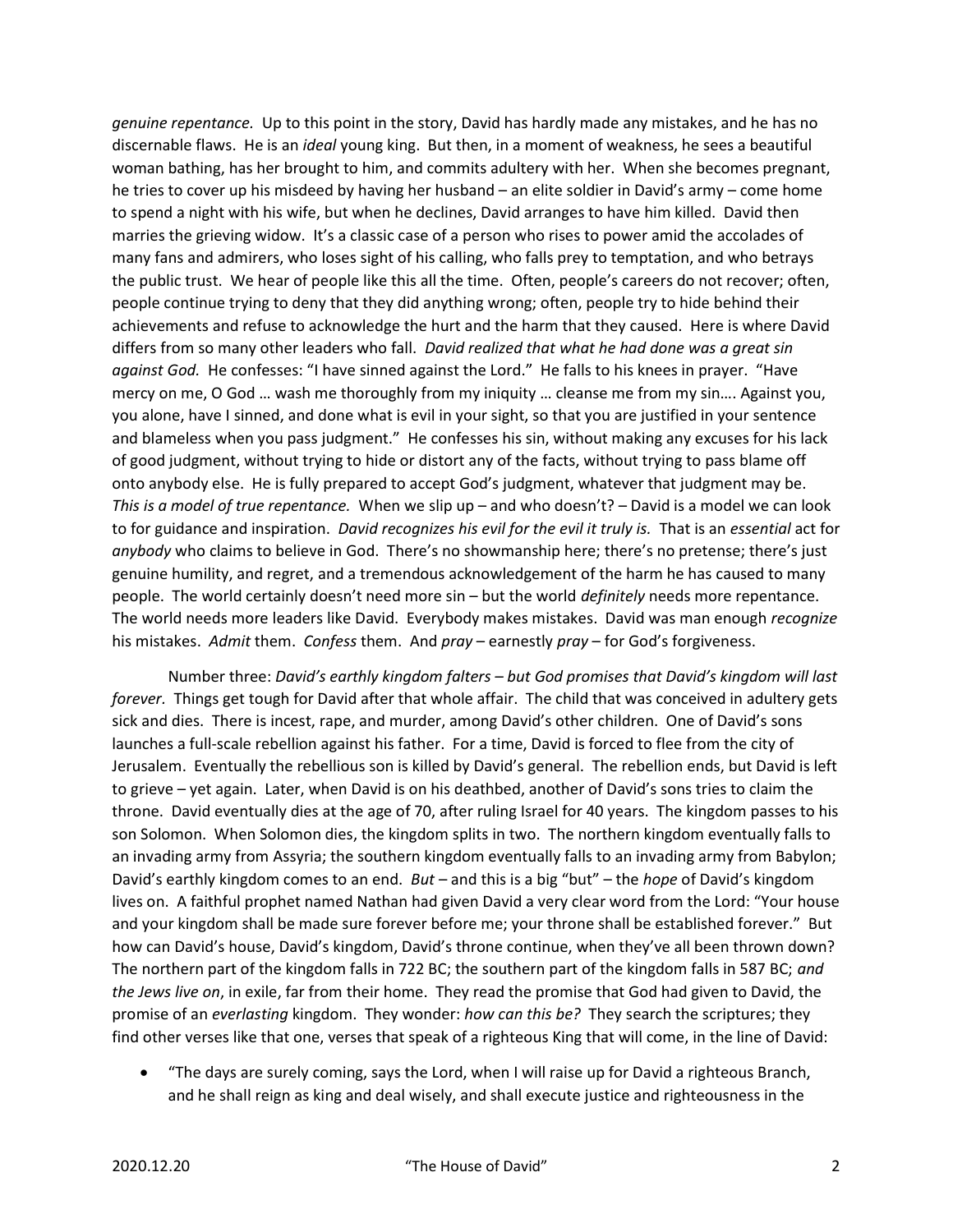genuine repentance. Up to this point in the story, David has hardly made any mistakes, and he has no discernable flaws. He is an ideal young king. But then, in a moment of weakness, he sees a beautiful woman bathing, has her brought to him, and commits adultery with her. When she becomes pregnant, he tries to cover up his misdeed by having her husband – an elite soldier in David's army – come home to spend a night with his wife, but when he declines, David arranges to have him killed. David then marries the grieving widow. It's a classic case of a person who rises to power amid the accolades of many fans and admirers, who loses sight of his calling, who falls prey to temptation, and who betrays the public trust. We hear of people like this all the time. Often, people's careers do not recover; often, people continue trying to deny that they did anything wrong; often, people try to hide behind their achievements and refuse to acknowledge the hurt and the harm that they caused. Here is where David differs from so many other leaders who fall. David realized that what he had done was a great sin against God. He confesses: "I have sinned against the Lord." He falls to his knees in prayer. "Have mercy on me, O God … wash me thoroughly from my iniquity … cleanse me from my sin…. Against you, you alone, have I sinned, and done what is evil in your sight, so that you are justified in your sentence and blameless when you pass judgment." He confesses his sin, without making any excuses for his lack of good judgment, without trying to hide or distort any of the facts, without trying to pass blame off onto anybody else. He is fully prepared to accept God's judgment, whatever that judgment may be. This is a model of true repentance. When we slip up – and who doesn't? – David is a model we can look to for guidance and inspiration. David recognizes his evil for the evil it truly is. That is an essential act for anybody who claims to believe in God. There's no showmanship here; there's no pretense; there's just genuine humility, and regret, and a tremendous acknowledgement of the harm he has caused to many people. The world certainly doesn't need more sin – but the world *definitely* needs more repentance. The world needs more leaders like David. Everybody makes mistakes. David was man enough recognize his mistakes. Admit them. Confess them. And pray – earnestly pray – for God's forgiveness.

 Number three: David's earthly kingdom falters – but God promises that David's kingdom will last forever. Things get tough for David after that whole affair. The child that was conceived in adultery gets sick and dies. There is incest, rape, and murder, among David's other children. One of David's sons launches a full-scale rebellion against his father. For a time, David is forced to flee from the city of Jerusalem. Eventually the rebellious son is killed by David's general. The rebellion ends, but David is left to grieve – yet again. Later, when David is on his deathbed, another of David's sons tries to claim the throne. David eventually dies at the age of 70, after ruling Israel for 40 years. The kingdom passes to his son Solomon. When Solomon dies, the kingdom splits in two. The northern kingdom eventually falls to an invading army from Assyria; the southern kingdom eventually falls to an invading army from Babylon; David's earthly kingdom comes to an end.  $But -$  and this is a big "but" – the *hope* of David's kingdom lives on. A faithful prophet named Nathan had given David a very clear word from the Lord: "Your house and your kingdom shall be made sure forever before me; your throne shall be established forever." But how can David's house, David's kingdom, David's throne continue, when they've all been thrown down? The northern part of the kingdom falls in 722 BC; the southern part of the kingdom falls in 587 BC; and the Jews live on, in exile, far from their home. They read the promise that God had given to David, the promise of an everlasting kingdom. They wonder: how can this be? They search the scriptures; they find other verses like that one, verses that speak of a righteous King that will come, in the line of David:

 "The days are surely coming, says the Lord, when I will raise up for David a righteous Branch, and he shall reign as king and deal wisely, and shall execute justice and righteousness in the